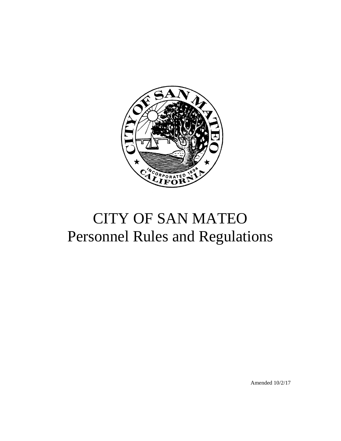

# CITY OF SAN MATEO Personnel Rules and Regulations

Amended 10/2/17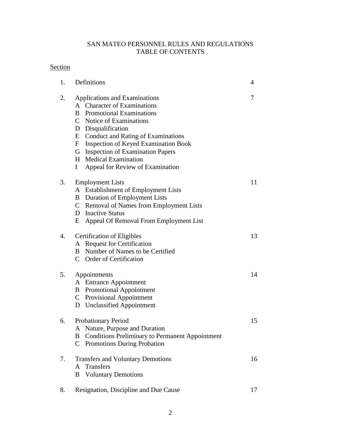# SAN MATEO PERSONNEL RULES AND REGULATIONS TABLE OF CONTENTS

# Section

| 1. | Definitions                                                                                                                                                                                                                                                                                                                                                                | 4  |
|----|----------------------------------------------------------------------------------------------------------------------------------------------------------------------------------------------------------------------------------------------------------------------------------------------------------------------------------------------------------------------------|----|
| 2. | Applications and Examinations<br>A Character of Examinations<br>B<br><b>Promotional Examinations</b><br>C Notice of Examinations<br>D Disqualification<br><b>Conduct and Rating of Examinations</b><br>E<br><b>Inspection of Keyed Examination Book</b><br>$F_{-}$<br>G Inspection of Examination Papers<br>H Medical Examination<br>Appeal for Review of Examination<br>I | 7  |
| 3. | <b>Employment Lists</b><br>A Establishment of Employment Lists<br>Duration of Employment Lists<br>B<br>C Removal of Names from Employment Lists<br>D Inactive Status<br>Appeal Of Removal From Employment List<br>E                                                                                                                                                        | 11 |
| 4. | <b>Certification of Eligibles</b><br>A Request for Certification<br>Number of Names to be Certified<br>B<br>C Order of Certification                                                                                                                                                                                                                                       | 13 |
| 5. | Appointments<br>A Entrance Appointment<br><b>B</b> Promotional Appointment<br>C Provisional Appointment<br>D Unclassified Appointment                                                                                                                                                                                                                                      | 14 |
| 6. | Probationary Period<br>A Nature, Purpose and Duration<br><b>Conditions Preliminary to Permanent Appointment</b><br>B<br>Promotions During Probation<br>$\mathsf{C}$                                                                                                                                                                                                        | 15 |
| 7. | <b>Transfers and Voluntary Demotions</b><br><b>Transfers</b><br>A<br><b>Voluntary Demotions</b><br>B                                                                                                                                                                                                                                                                       | 16 |
| 8. | Resignation, Discipline and Due Cause                                                                                                                                                                                                                                                                                                                                      | 17 |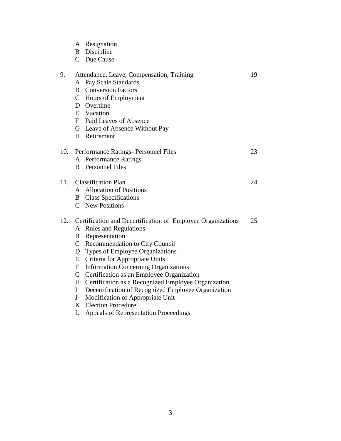|     |                                                                 | A Resignation<br><b>B</b> Discipline<br>C Due Cause                                                                                                                                                                                                                                                                                                                                                                                                                                                                              |    |
|-----|-----------------------------------------------------------------|----------------------------------------------------------------------------------------------------------------------------------------------------------------------------------------------------------------------------------------------------------------------------------------------------------------------------------------------------------------------------------------------------------------------------------------------------------------------------------------------------------------------------------|----|
| 9.  |                                                                 | Attendance, Leave, Compensation, Training<br>A Pay Scale Standards<br><b>B</b> Conversion Factors<br>C Hours of Employment<br>D Overtime<br>E Vacation<br>F Paid Leaves of Absence<br>G Leave of Absence Without Pay<br>H Retirement                                                                                                                                                                                                                                                                                             | 19 |
| 10. |                                                                 | Performance Ratings- Personnel Files<br>A Performance Ratings<br><b>B</b> Personnel Files                                                                                                                                                                                                                                                                                                                                                                                                                                        | 23 |
| 11. |                                                                 | <b>Classification Plan</b><br>A Allocation of Positions<br><b>B</b> Class Specifications<br>C New Positions                                                                                                                                                                                                                                                                                                                                                                                                                      | 24 |
| 12. | B<br>D<br>E<br>$\mathbf{F}$<br>G<br>H<br>$\mathbf{I}$<br>J<br>L | Certification and Decertification of Employee Organizations<br>A Rules and Regulations<br>Representation<br>C Recommendation to City Council<br>Types of Employee Organizations<br>Criteria for Appropriate Units<br><b>Information Concerning Organizations</b><br>Certification as an Employee Organization<br>Certification as a Recognized Employee Organization<br>Decertification of Recognized Employee Organization<br>Modification of Appropriate Unit<br>K Election Procedure<br>Appeals of Representation Proceedings | 25 |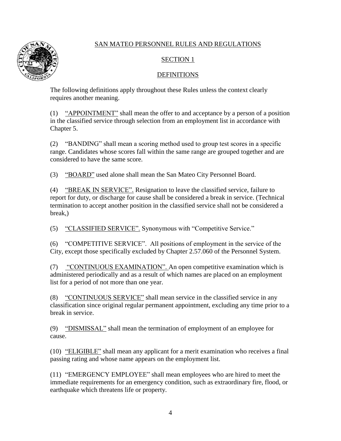# SECTION 1

# DEFINITIONS

The following definitions apply throughout these Rules unless the context clearly requires another meaning.

(1) "APPOINTMENT" shall mean the offer to and acceptance by a person of a position in the classified service through selection from an employment list in accordance with Chapter 5.

(2) "BANDING" shall mean a scoring method used to group test scores in a specific range. Candidates whose scores fall within the same range are grouped together and are considered to have the same score.

(3) "BOARD" used alone shall mean the San Mateo City Personnel Board.

(4) "BREAK IN SERVICE". Resignation to leave the classified service, failure to report for duty, or discharge for cause shall be considered a break in service. (Technical termination to accept another position in the classified service shall not be considered a break,)

(5) "CLASSIFIED SERVICE". Synonymous with "Competitive Service."

(6) "COMPETITIVE SERVICE". All positions of employment in the service of the City, except those specifically excluded by Chapter 2.57.060 of the Personnel System.

(7) "CONTINUOUS EXAMINATION". An open competitive examination which is administered periodically and as a result of which names are placed on an employment list for a period of not more than one year.

(8) "CONTINUOUS SERVICE" shall mean service in the classified service in any classification since original regular permanent appointment, excluding any time prior to a break in service.

(9) "DISMISSAL" shall mean the termination of employment of an employee for cause.

(10) "ELIGIBLE" shall mean any applicant for a merit examination who receives a final passing rating and whose name appears on the employment list.

(11) "EMERGENCY EMPLOYEE" shall mean employees who are hired to meet the immediate requirements for an emergency condition, such as extraordinary fire, flood, or earthquake which threatens life or property.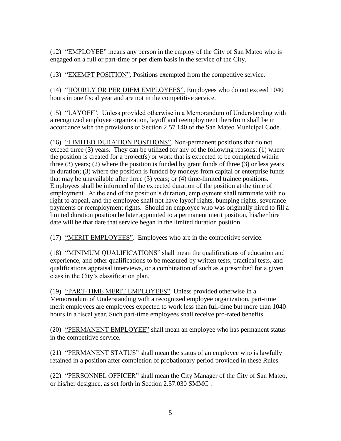(12) "EMPLOYEE" means any person in the employ of the City of San Mateo who is engaged on a full or part-time or per diem basis in the service of the City.

(13) "EXEMPT POSITION". Positions exempted from the competitive service.

(14) "HOURLY OR PER DIEM EMPLOYEES". Employees who do not exceed 1040 hours in one fiscal year and are not in the competitive service.

(15) "LAYOFF". Unless provided otherwise in a Memorandum of Understanding with a recognized employee organization, layoff and reemployment therefrom shall be in accordance with the provisions of Section 2.57.140 of the San Mateo Municipal Code.

(16) "LIMITED DURATION POSITIONS". Non-permanent positions that do not exceed three (3) years. They can be utilized for any of the following reasons: (1) where the position is created for a project(s) or work that is expected to be completed within three (3) years; (2) where the position is funded by grant funds of three (3) or less years in duration; (3) where the position is funded by moneys from capital or enterprise funds that may be unavailable after three (3) years; or (4) time-limited trainee positions. Employees shall be informed of the expected duration of the position at the time of employment. At the end of the position's duration, employment shall terminate with no right to appeal, and the employee shall not have layoff rights, bumping rights, severance payments or reemployment rights. Should an employee who was originally hired to fill a limited duration position be later appointed to a permanent merit position, his/her hire date will be that date that service began in the limited duration position.

(17) "MERIT EMPLOYEES". Employees who are in the competitive service.

(18) "MINIMUM QUALIFICATIONS" shall mean the qualifications of education and experience, and other qualifications to be measured by written tests, practical tests, and qualifications appraisal interviews, or a combination of such as a prescribed for a given class in the City's classification plan.

(19) "PART-TIME MERIT EMPLOYEES". Unless provided otherwise in a Memorandum of Understanding with a recognized employee organization, part-time merit employees are employees expected to work less than full-time but more than 1040 hours in a fiscal year. Such part-time employees shall receive pro-rated benefits.

(20) "PERMANENT EMPLOYEE" shall mean an employee who has permanent status in the competitive service.

(21) "PERMANENT STATUS" shall mean the status of an employee who is lawfully retained in a position after completion of probationary period provided in these Rules.

(22) "PERSONNEL OFFICER" shall mean the City Manager of the City of San Mateo, or his/her designee, as set forth in Section 2.57.030 SMMC .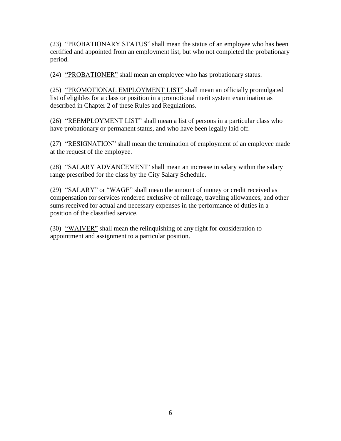(23) "PROBATIONARY STATUS" shall mean the status of an employee who has been certified and appointed from an employment list, but who not completed the probationary period.

(24) "PROBATIONER" shall mean an employee who has probationary status.

(25) "PROMOTIONAL EMPLOYMENT LIST" shall mean an officially promulgated list of eligibles for a class or position in a promotional merit system examination as described in Chapter 2 of these Rules and Regulations.

(26) "REEMPLOYMENT LIST" shall mean a list of persons in a particular class who have probationary or permanent status, and who have been legally laid off.

(27) "RESIGNATION" shall mean the termination of employment of an employee made at the request of the employee.

(28) "SALARY ADVANCEMENT' shall mean an increase in salary within the salary range prescribed for the class by the City Salary Schedule.

(29) "SALARY" or "WAGE" shall mean the amount of money or credit received as compensation for services rendered exclusive of mileage, traveling allowances, and other sums received for actual and necessary expenses in the performance of duties in a position of the classified service.

(30) "WAIVER" shall mean the relinquishing of any right for consideration to appointment and assignment to a particular position.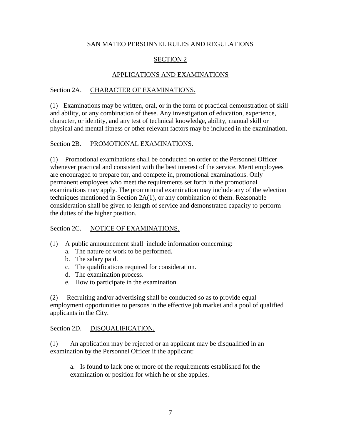# SECTION 2

# APPLICATIONS AND EXAMINATIONS

# Section 2A. CHARACTER OF EXAMINATIONS.

(1) Examinations may be written, oral, or in the form of practical demonstration of skill and ability, or any combination of these. Any investigation of education, experience, character, or identity, and any test of technical knowledge, ability, manual skill or physical and mental fitness or other relevant factors may be included in the examination.

### Section 2B. PROMOTIONAL EXAMINATIONS.

(1) Promotional examinations shall be conducted on order of the Personnel Officer whenever practical and consistent with the best interest of the service. Merit employees are encouraged to prepare for, and compete in, promotional examinations. Only permanent employees who meet the requirements set forth in the promotional examinations may apply. The promotional examination may include any of the selection techniques mentioned in Section 2A(1), or any combination of them. Reasonable consideration shall be given to length of service and demonstrated capacity to perform the duties of the higher position.

#### Section 2C. NOTICE OF EXAMINATIONS.

- (1) A public announcement shall include information concerning:
	- a. The nature of work to be performed.
	- b. The salary paid.
	- c. The qualifications required for consideration.
	- d. The examination process.
	- e. How to participate in the examination.

(2) Recruiting and/or advertising shall be conducted so as to provide equal employment opportunities to persons in the effective job market and a pool of qualified applicants in the City.

#### Section 2D. DISOUALIFICATION.

(1) An application may be rejected or an applicant may be disqualified in an examination by the Personnel Officer if the applicant:

a. Is found to lack one or more of the requirements established for the examination or position for which he or she applies.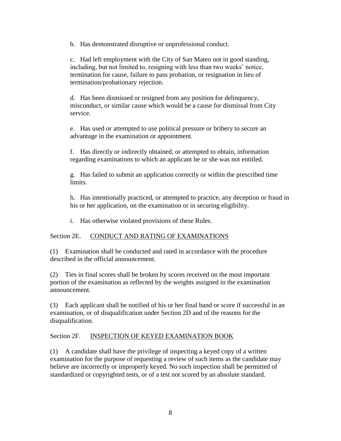b. Has demonstrated disruptive or unprofessional conduct.

c. Had left employment with the City of San Mateo not in good standing, including, but not limited to, resigning with less than two weeks' notice, termination for cause, failure to pass probation, or resignation in lieu of termination/probationary rejection.

d. Has been dismissed or resigned from any position for delinquency, misconduct, or similar cause which would be a cause for dismissal from City service.

e. Has used or attempted to use political pressure or bribery to secure an advantage in the examination or appointment.

f. Has directly or indirectly obtained, or attempted to obtain, information regarding examinations to which an applicant he or she was not entitled.

g. Has failed to submit an application correctly or within the prescribed time limits.

h. Has intentionally practiced, or attempted to practice, any deception or fraud in his or her application, on the examination or in securing eligibility.

i. Has otherwise violated provisions of these Rules.

# Section 2E. CONDUCT AND RATING OF EXAMINATIONS

(1) Examination shall be conducted and rated in accordance with the procedure described in the official announcement.

(2) Ties in final scores shall be broken by scores received on the most important portion of the examination as reflected by the weights assigned in the examination announcement.

(3) Each applicant shall be notified of his or her final band or score if successful in an examination, or of disqualification under Section 2D and of the reasons for the disqualification.

#### Section 2F. **INSPECTION OF KEYED EXAMINATION BOOK**

(1) A candidate shall have the privilege of inspecting a keyed copy of a written examination for the purpose of requesting a review of such items as the candidate may believe are incorrectly or improperly keyed. No such inspection shall be permitted of standardized or copyrighted tests, or of a test not scored by an absolute standard.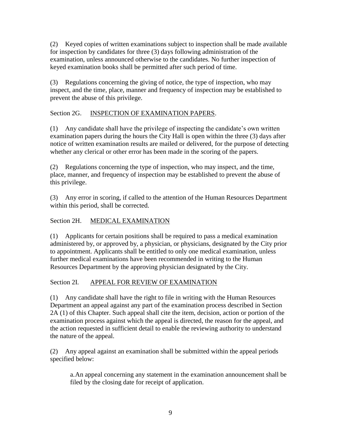(2) Keyed copies of written examinations subject to inspection shall be made available for inspection by candidates for three (3) days following administration of the examination, unless announced otherwise to the candidates. No further inspection of keyed examination books shall be permitted after such period of time.

(3) Regulations concerning the giving of notice, the type of inspection, who may inspect, and the time, place, manner and frequency of inspection may be established to prevent the abuse of this privilege.

# Section 2G. INSPECTION OF EXAMINATION PAPERS.

(1) Any candidate shall have the privilege of inspecting the candidate's own written examination papers during the hours the City Hall is open within the three (3) days after notice of written examination results are mailed or delivered, for the purpose of detecting whether any clerical or other error has been made in the scoring of the papers.

(2) Regulations concerning the type of inspection, who may inspect, and the time, place, manner, and frequency of inspection may be established to prevent the abuse of this privilege.

(3) Any error in scoring, if called to the attention of the Human Resources Department within this period, shall be corrected.

# Section 2H. MEDICAL EXAMINATION

(1) Applicants for certain positions shall be required to pass a medical examination administered by, or approved by, a physician, or physicians, designated by the City prior to appointment. Applicants shall be entitled to only one medical examination, unless further medical examinations have been recommended in writing to the Human Resources Department by the approving physician designated by the City.

# Section 2I. APPEAL FOR REVIEW OF EXAMINATION

(1) Any candidate shall have the right to file in writing with the Human Resources Department an appeal against any part of the examination process described in Section 2A (1) of this Chapter. Such appeal shall cite the item, decision, action or portion of the examination process against which the appeal is directed, the reason for the appeal, and the action requested in sufficient detail to enable the reviewing authority to understand the nature of the appeal.

(2) Any appeal against an examination shall be submitted within the appeal periods specified below:

a.An appeal concerning any statement in the examination announcement shall be filed by the closing date for receipt of application.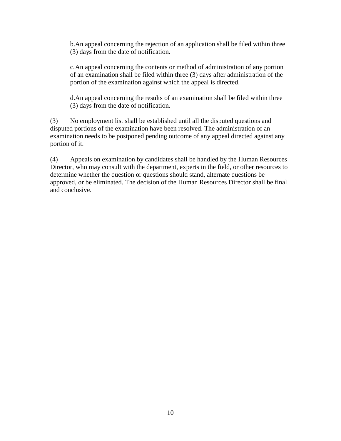b.An appeal concerning the rejection of an application shall be filed within three (3) days from the date of notification.

c.An appeal concerning the contents or method of administration of any portion of an examination shall be filed within three (3) days after administration of the portion of the examination against which the appeal is directed.

d.An appeal concerning the results of an examination shall be filed within three (3) days from the date of notification.

(3) No employment list shall be established until all the disputed questions and disputed portions of the examination have been resolved. The administration of an examination needs to be postponed pending outcome of any appeal directed against any portion of it.

(4) Appeals on examination by candidates shall be handled by the Human Resources Director, who may consult with the department, experts in the field, or other resources to determine whether the question or questions should stand, alternate questions be approved, or be eliminated. The decision of the Human Resources Director shall be final and conclusive.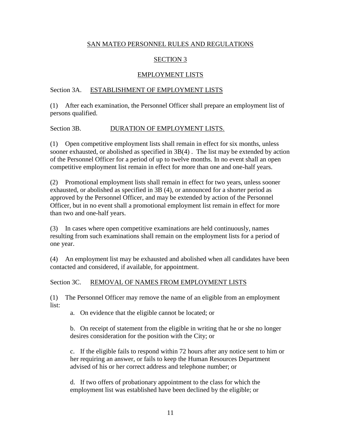# SECTION 3

# EMPLOYMENT LISTS

# Section 3A. ESTABLISHMENT OF EMPLOYMENT LISTS

(1) After each examination, the Personnel Officer shall prepare an employment list of persons qualified.

### Section 3B. DURATION OF EMPLOYMENT LISTS.

(1) Open competitive employment lists shall remain in effect for six months, unless sooner exhausted, or abolished as specified in 3B(4) . The list may be extended by action of the Personnel Officer for a period of up to twelve months. In no event shall an open competitive employment list remain in effect for more than one and one-half years.

(2) Promotional employment lists shall remain in effect for two years, unless sooner exhausted, or abolished as specified in 3B (4), or announced for a shorter period as approved by the Personnel Officer, and may be extended by action of the Personnel Officer, but in no event shall a promotional employment list remain in effect for more than two and one-half years.

(3) In cases where open competitive examinations are held continuously, names resulting from such examinations shall remain on the employment lists for a period of one year.

(4) An employment list may be exhausted and abolished when all candidates have been contacted and considered, if available, for appointment.

#### Section 3C. REMOVAL OF NAMES FROM EMPLOYMENT LISTS

(1) The Personnel Officer may remove the name of an eligible from an employment list:

a. On evidence that the eligible cannot be located; or

b. On receipt of statement from the eligible in writing that he or she no longer desires consideration for the position with the City; or

c. If the eligible fails to respond within 72 hours after any notice sent to him or her requiring an answer, or fails to keep the Human Resources Department advised of his or her correct address and telephone number; or

d. If two offers of probationary appointment to the class for which the employment list was established have been declined by the eligible; or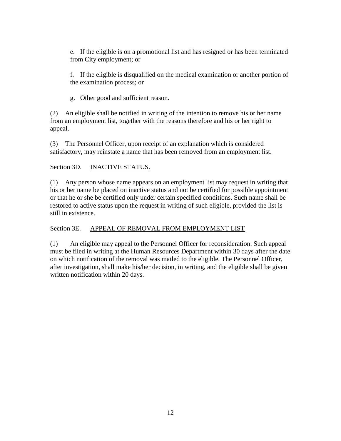e. If the eligible is on a promotional list and has resigned or has been terminated from City employment; or

f. If the eligible is disqualified on the medical examination or another portion of the examination process; or

g. Other good and sufficient reason.

(2) An eligible shall be notified in writing of the intention to remove his or her name from an employment list, together with the reasons therefore and his or her right to appeal.

(3) The Personnel Officer, upon receipt of an explanation which is considered satisfactory, may reinstate a name that has been removed from an employment list.

# Section 3D. **INACTIVE STATUS.**

(1) Any person whose name appears on an employment list may request in writing that his or her name be placed on inactive status and not be certified for possible appointment or that he or she be certified only under certain specified conditions. Such name shall be restored to active status upon the request in writing of such eligible, provided the list is still in existence.

# Section 3E. APPEAL OF REMOVAL FROM EMPLOYMENT LIST

(1) An eligible may appeal to the Personnel Officer for reconsideration. Such appeal must be filed in writing at the Human Resources Department within 30 days after the date on which notification of the removal was mailed to the eligible. The Personnel Officer, after investigation, shall make his/her decision, in writing, and the eligible shall be given written notification within 20 days.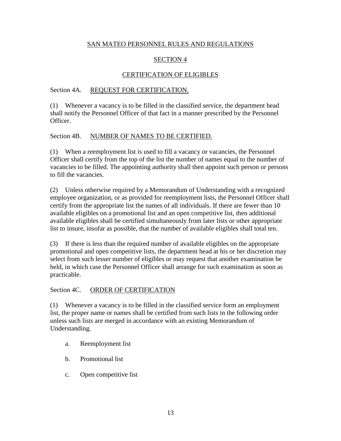# SECTION 4

# CERTIFICATION OF ELIGIBLES

### Section 4A. REQUEST FOR CERTIFICATION.

(1) Whenever a vacancy is to be filled in the classified service, the department head shall notify the Personnel Officer of that fact in a manner prescribed by the Personnel Officer.

### Section 4B. NUMBER OF NAMES TO BE CERTIFIED.

(1) When a reemployment list is used to fill a vacancy or vacancies, the Personnel Officer shall certify from the top of the list the number of names equal to the number of vacancies to be filled. The appointing authority shall then appoint such person or persons to fill the vacancies.

(2) Unless otherwise required by a Memorandum of Understanding with a recognized employee organization, or as provided for reemployment lists, the Personnel Officer shall certify from the appropriate list the names of all individuals. If there are fewer than 10 available eligibles on a promotional list and an open competitive list, then additional available eligibles shall be certified simultaneously from later lists or other appropriate list to insure, insofar as possible, that the number of available eligibles shall total ten.

(3) If there is less than the required number of available eligibles on the appropriate promotional and open competitive lists, the department head at his or her discretion may select from such lesser number of eligibles or may request that another examination be held, in which case the Personnel Officer shall arrange for such examination as soon as practicable.

# Section 4C. ORDER OF CERTIFICATION

(1) Whenever a vacancy is to be filled in the classified service form an employment list, the proper name or names shall be certified from such lists in the following order unless such lists are merged in accordance with an existing Memorandum of Understanding.

- a. Reemployment list
- b. Promotional list
- c. Open competitive list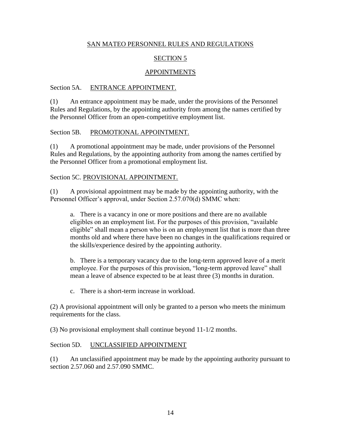# SECTION 5

### APPOINTMENTS

#### Section 5A. ENTRANCE APPOINTMENT.

(1) An entrance appointment may be made, under the provisions of the Personnel Rules and Regulations, by the appointing authority from among the names certified by the Personnel Officer from an open-competitive employment list.

#### Section 5B. PROMOTIONAL APPOINTMENT.

(1) A promotional appointment may be made, under provisions of the Personnel Rules and Regulations, by the appointing authority from among the names certified by the Personnel Officer from a promotional employment list.

#### Section 5C. PROVISIONAL APPOINTMENT.

(1) A provisional appointment may be made by the appointing authority, with the Personnel Officer's approval, under Section 2.57.070(d) SMMC when:

a. There is a vacancy in one or more positions and there are no available eligibles on an employment list. For the purposes of this provision, "available eligible" shall mean a person who is on an employment list that is more than three months old and where there have been no changes in the qualifications required or the skills/experience desired by the appointing authority.

b. There is a temporary vacancy due to the long-term approved leave of a merit employee. For the purposes of this provision, "long-term approved leave" shall mean a leave of absence expected to be at least three (3) months in duration.

c. There is a short-term increase in workload.

(2) A provisional appointment will only be granted to a person who meets the minimum requirements for the class.

(3) No provisional employment shall continue beyond 11-1/2 months.

#### Section 5D. UNCLASSIFIED APPOINTMENT

(1) An unclassified appointment may be made by the appointing authority pursuant to section 2.57.060 and 2.57.090 SMMC.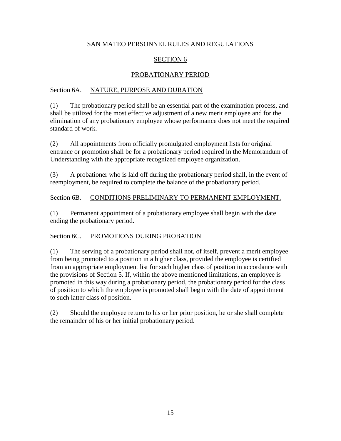# SECTION 6

# PROBATIONARY PERIOD

# Section 6A. NATURE, PURPOSE AND DURATION

(1) The probationary period shall be an essential part of the examination process, and shall be utilized for the most effective adjustment of a new merit employee and for the elimination of any probationary employee whose performance does not meet the required standard of work.

(2) All appointments from officially promulgated employment lists for original entrance or promotion shall be for a probationary period required in the Memorandum of Understanding with the appropriate recognized employee organization.

(3) A probationer who is laid off during the probationary period shall, in the event of reemployment, be required to complete the balance of the probationary period.

# Section 6B. CONDITIONS PRELIMINARY TO PERMANENT EMPLOYMENT.

(1) Permanent appointment of a probationary employee shall begin with the date ending the probationary period.

# Section 6C. PROMOTIONS DURING PROBATION

(1) The serving of a probationary period shall not, of itself, prevent a merit employee from being promoted to a position in a higher class, provided the employee is certified from an appropriate employment list for such higher class of position in accordance with the provisions of Section 5. If, within the above mentioned limitations, an employee is promoted in this way during a probationary period, the probationary period for the class of position to which the employee is promoted shall begin with the date of appointment to such latter class of position.

(2) Should the employee return to his or her prior position, he or she shall complete the remainder of his or her initial probationary period.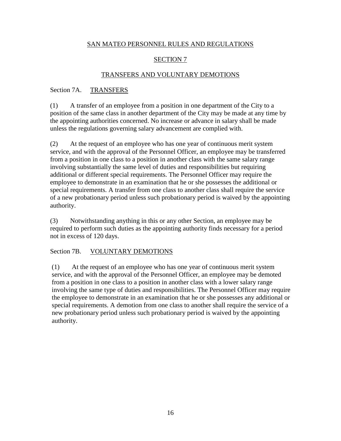# SECTION 7

### TRANSFERS AND VOLUNTARY DEMOTIONS

### Section 7A. TRANSFERS

(1) A transfer of an employee from a position in one department of the City to a position of the same class in another department of the City may be made at any time by the appointing authorities concerned. No increase or advance in salary shall be made unless the regulations governing salary advancement are complied with.

(2) At the request of an employee who has one year of continuous merit system service, and with the approval of the Personnel Officer, an employee may be transferred from a position in one class to a position in another class with the same salary range involving substantially the same level of duties and responsibilities but requiring additional or different special requirements. The Personnel Officer may require the employee to demonstrate in an examination that he or she possesses the additional or special requirements. A transfer from one class to another class shall require the service of a new probationary period unless such probationary period is waived by the appointing authority.

(3) Notwithstanding anything in this or any other Section, an employee may be required to perform such duties as the appointing authority finds necessary for a period not in excess of 120 days.

# Section 7B. VOLUNTARY DEMOTIONS

(1) At the request of an employee who has one year of continuous merit system service, and with the approval of the Personnel Officer, an employee may be demoted from a position in one class to a position in another class with a lower salary range involving the same type of duties and responsibilities. The Personnel Officer may require the employee to demonstrate in an examination that he or she possesses any additional or special requirements. A demotion from one class to another shall require the service of a new probationary period unless such probationary period is waived by the appointing authority.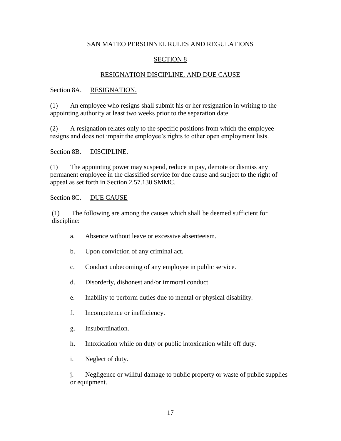### SECTION 8

#### RESIGNATION DISCIPLINE, AND DUE CAUSE

#### Section 8A. RESIGNATION.

(1) An employee who resigns shall submit his or her resignation in writing to the appointing authority at least two weeks prior to the separation date.

(2) A resignation relates only to the specific positions from which the employee resigns and does not impair the employee's rights to other open employment lists.

#### Section 8B. DISCIPLINE.

(1) The appointing power may suspend, reduce in pay, demote or dismiss any permanent employee in the classified service for due cause and subject to the right of appeal as set forth in Section 2.57.130 SMMC.

#### Section 8C. DUE CAUSE

(1) The following are among the causes which shall be deemed sufficient for discipline:

- a. Absence without leave or excessive absenteeism.
- b. Upon conviction of any criminal act.
- c. Conduct unbecoming of any employee in public service.
- d. Disorderly, dishonest and/or immoral conduct.
- e. Inability to perform duties due to mental or physical disability.
- f. Incompetence or inefficiency.
- g. Insubordination.
- h. Intoxication while on duty or public intoxication while off duty.
- i. Neglect of duty.

j. Negligence or willful damage to public property or waste of public supplies or equipment.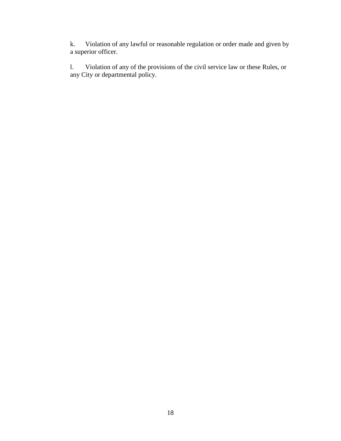k. Violation of any lawful or reasonable regulation or order made and given by a superior officer.

l. Violation of any of the provisions of the civil service law or these Rules, or any City or departmental policy.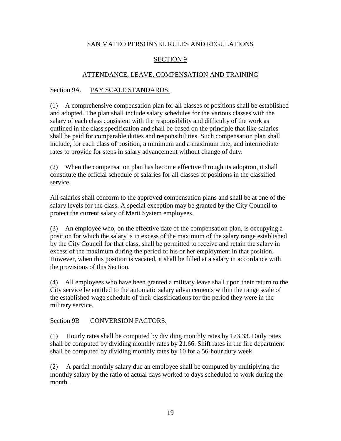### SECTION 9

### ATTENDANCE, LEAVE, COMPENSATION AND TRAINING

#### Section 9A. PAY SCALE STANDARDS.

(1) A comprehensive compensation plan for all classes of positions shall be established and adopted. The plan shall include salary schedules for the various classes with the salary of each class consistent with the responsibility and difficulty of the work as outlined in the class specification and shall be based on the principle that like salaries shall be paid for comparable duties and responsibilities. Such compensation plan shall include, for each class of position, a minimum and a maximum rate, and intermediate rates to provide for steps in salary advancement without change of duty.

(2) When the compensation plan has become effective through its adoption, it shall constitute the official schedule of salaries for all classes of positions in the classified service.

All salaries shall conform to the approved compensation plans and shall be at one of the salary levels for the class. A special exception may be granted by the City Council to protect the current salary of Merit System employees.

(3) An employee who, on the effective date of the compensation plan, is occupying a position for which the salary is in excess of the maximum of the salary range established by the City Council for that class, shall be permitted to receive and retain the salary in excess of the maximum during the period of his or her employment in that position. However, when this position is vacated, it shall be filled at a salary in accordance with the provisions of this Section.

(4) All employees who have been granted a military leave shall upon their return to the City service be entitled to the automatic salary advancements within the range scale of the established wage schedule of their classifications for the period they were in the military service.

#### Section 9B CONVERSION FACTORS.

(1) Hourly rates shall be computed by dividing monthly rates by 173.33. Daily rates shall be computed by dividing monthly rates by 21.66. Shift rates in the fire department shall be computed by dividing monthly rates by 10 for a 56-hour duty week.

(2) A partial monthly salary due an employee shall be computed by multiplying the monthly salary by the ratio of actual days worked to days scheduled to work during the month.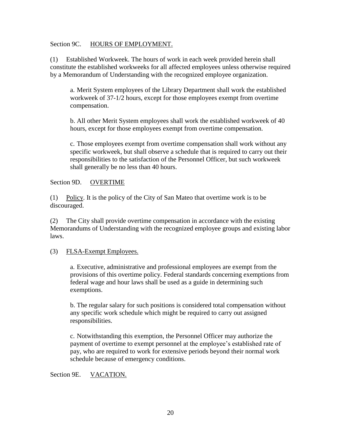#### Section 9C. HOURS OF EMPLOYMENT.

(1) Established Workweek. The hours of work in each week provided herein shall constitute the established workweeks for all affected employees unless otherwise required by a Memorandum of Understanding with the recognized employee organization.

a. Merit System employees of the Library Department shall work the established workweek of 37-1/2 hours, except for those employees exempt from overtime compensation.

b. All other Merit System employees shall work the established workweek of 40 hours, except for those employees exempt from overtime compensation.

c. Those employees exempt from overtime compensation shall work without any specific workweek, but shall observe a schedule that is required to carry out their responsibilities to the satisfaction of the Personnel Officer, but such workweek shall generally be no less than 40 hours.

#### Section 9D. OVERTIME

(1) Policy. It is the policy of the City of San Mateo that overtime work is to be discouraged.

(2) The City shall provide overtime compensation in accordance with the existing Memorandums of Understanding with the recognized employee groups and existing labor laws.

# (3) FLSA-Exempt Employees.

a. Executive, administrative and professional employees are exempt from the provisions of this overtime policy. Federal standards concerning exemptions from federal wage and hour laws shall be used as a guide in determining such exemptions.

b. The regular salary for such positions is considered total compensation without any specific work schedule which might be required to carry out assigned responsibilities.

c. Notwithstanding this exemption, the Personnel Officer may authorize the payment of overtime to exempt personnel at the employee's established rate of pay, who are required to work for extensive periods beyond their normal work schedule because of emergency conditions.

#### Section 9E. VACATION.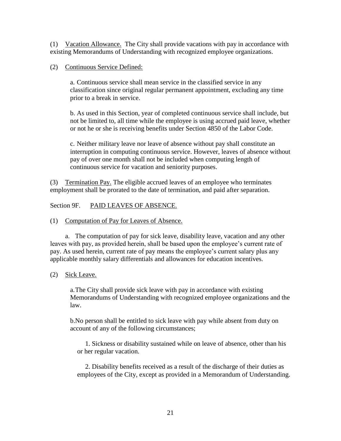(1) Vacation Allowance. The City shall provide vacations with pay in accordance with existing Memorandums of Understanding with recognized employee organizations.

(2) Continuous Service Defined:

a. Continuous service shall mean service in the classified service in any classification since original regular permanent appointment, excluding any time prior to a break in service.

b. As used in this Section, year of completed continuous service shall include, but not be limited to, all time while the employee is using accrued paid leave, whether or not he or she is receiving benefits under Section 4850 of the Labor Code.

c. Neither military leave nor leave of absence without pay shall constitute an interruption in computing continuous service. However, leaves of absence without pay of over one month shall not be included when computing length of continuous service for vacation and seniority purposes.

(3) Termination Pay. The eligible accrued leaves of an employee who terminates employment shall be prorated to the date of termination, and paid after separation.

Section 9F. PAID LEAVES OF ABSENCE.

(1) Computation of Pay for Leaves of Absence.

a. The computation of pay for sick leave, disability leave, vacation and any other leaves with pay, as provided herein, shall be based upon the employee's current rate of pay. As used herein, current rate of pay means the employee's current salary plus any applicable monthly salary differentials and allowances for education incentives.

(2) Sick Leave.

a.The City shall provide sick leave with pay in accordance with existing Memorandums of Understanding with recognized employee organizations and the law.

b.No person shall be entitled to sick leave with pay while absent from duty on account of any of the following circumstances;

1. Sickness or disability sustained while on leave of absence, other than his or her regular vacation.

2. Disability benefits received as a result of the discharge of their duties as employees of the City, except as provided in a Memorandum of Understanding.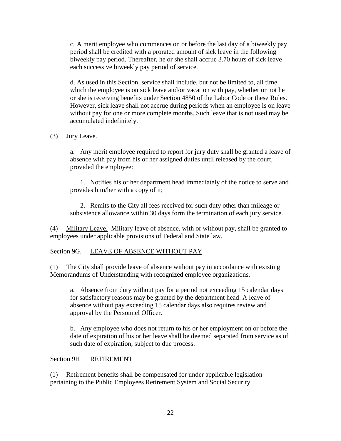c. A merit employee who commences on or before the last day of a biweekly pay period shall be credited with a prorated amount of sick leave in the following biweekly pay period. Thereafter, he or she shall accrue 3.70 hours of sick leave each successive biweekly pay period of service.

d. As used in this Section, service shall include, but not be limited to, all time which the employee is on sick leave and/or vacation with pay, whether or not he or she is receiving benefits under Section 4850 of the Labor Code or these Rules. However, sick leave shall not accrue during periods when an employee is on leave without pay for one or more complete months. Such leave that is not used may be accumulated indefinitely.

#### (3) Jury Leave.

a. Any merit employee required to report for jury duty shall be granted a leave of absence with pay from his or her assigned duties until released by the court, provided the employee:

1. Notifies his or her department head immediately of the notice to serve and provides him/her with a copy of it;

2. Remits to the City all fees received for such duty other than mileage or subsistence allowance within 30 days form the termination of each jury service.

(4) Military Leave. Military leave of absence, with or without pay, shall be granted to employees under applicable provisions of Federal and State law.

# Section 9G. LEAVE OF ABSENCE WITHOUT PAY

(1) The City shall provide leave of absence without pay in accordance with existing Memorandums of Understanding with recognized employee organizations.

a. Absence from duty without pay for a period not exceeding 15 calendar days for satisfactory reasons may be granted by the department head. A leave of absence without pay exceeding 15 calendar days also requires review and approval by the Personnel Officer.

b. Any employee who does not return to his or her employment on or before the date of expiration of his or her leave shall be deemed separated from service as of such date of expiration, subject to due process.

#### Section 9H RETIREMENT

(1) Retirement benefits shall be compensated for under applicable legislation pertaining to the Public Employees Retirement System and Social Security.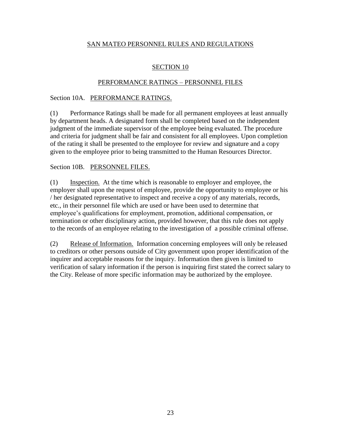# SECTION 10

#### PERFORMANCE RATINGS – PERSONNEL FILES

#### Section 10A. PERFORMANCE RATINGS.

(1) Performance Ratings shall be made for all permanent employees at least annually by department heads. A designated form shall be completed based on the independent judgment of the immediate supervisor of the employee being evaluated. The procedure and criteria for judgment shall be fair and consistent for all employees. Upon completion of the rating it shall be presented to the employee for review and signature and a copy given to the employee prior to being transmitted to the Human Resources Director.

### Section 10B. PERSONNEL FILES.

(1) Inspection. At the time which is reasonable to employer and employee, the employer shall upon the request of employee, provide the opportunity to employee or his / her designated representative to inspect and receive a copy of any materials, records, etc., in their personnel file which are used or have been used to determine that employee's qualifications for employment, promotion, additional compensation, or termination or other disciplinary action, provided however, that this rule does not apply to the records of an employee relating to the investigation of a possible criminal offense.

(2) Release of Information. Information concerning employees will only be released to creditors or other persons outside of City government upon proper identification of the inquirer and acceptable reasons for the inquiry. Information then given is limited to verification of salary information if the person is inquiring first stated the correct salary to the City. Release of more specific information may be authorized by the employee.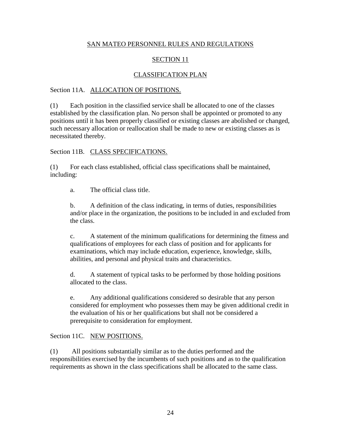# SECTION 11

# CLASSIFICATION PLAN

#### Section 11A. ALLOCATION OF POSITIONS.

(1) Each position in the classified service shall be allocated to one of the classes established by the classification plan. No person shall be appointed or promoted to any positions until it has been properly classified or existing classes are abolished or changed, such necessary allocation or reallocation shall be made to new or existing classes as is necessitated thereby.

#### Section 11B. CLASS SPECIFICATIONS.

(1) For each class established, official class specifications shall be maintained, including:

a. The official class title.

b. A definition of the class indicating, in terms of duties, responsibilities and/or place in the organization, the positions to be included in and excluded from the class.

c. A statement of the minimum qualifications for determining the fitness and qualifications of employees for each class of position and for applicants for examinations, which may include education, experience, knowledge, skills, abilities, and personal and physical traits and characteristics.

d. A statement of typical tasks to be performed by those holding positions allocated to the class.

e. Any additional qualifications considered so desirable that any person considered for employment who possesses them may be given additional credit in the evaluation of his or her qualifications but shall not be considered a prerequisite to consideration for employment.

#### Section 11C. NEW POSITIONS.

(1) All positions substantially similar as to the duties performed and the responsibilities exercised by the incumbents of such positions and as to the qualification requirements as shown in the class specifications shall be allocated to the same class.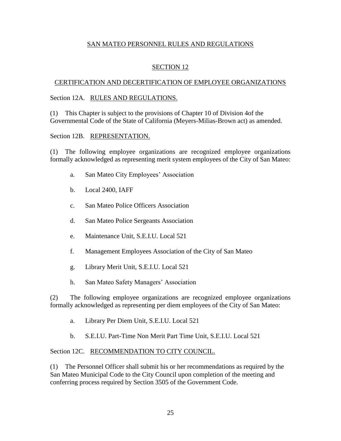# SECTION 12

#### CERTIFICATION AND DECERTIFICATION OF EMPLOYEE ORGANIZATIONS

#### Section 12A. RULES AND REGULATIONS.

(1) This Chapter is subject to the provisions of Chapter 10 of Division 4of the Governmental Code of the State of California (Meyers-Milias-Brown act) as amended.

#### Section 12B. REPRESENTATION.

(1) The following employee organizations are recognized employee organizations formally acknowledged as representing merit system employees of the City of San Mateo:

- a. San Mateo City Employees' Association
- b. Local 2400, IAFF
- c. San Mateo Police Officers Association
- d. San Mateo Police Sergeants Association
- e. Maintenance Unit, S.E.I.U. Local 521
- f. Management Employees Association of the City of San Mateo
- g. Library Merit Unit, S.E.I.U. Local 521
- h. San Mateo Safety Managers' Association

(2) The following employee organizations are recognized employee organizations formally acknowledged as representing per diem employees of the City of San Mateo:

- a. Library Per Diem Unit, S.E.I.U. Local 521
- b. S.E.I.U. Part-Time Non Merit Part Time Unit, S.E.I.U. Local 521

#### Section 12C. RECOMMENDATION TO CITY COUNCIL.

(1) The Personnel Officer shall submit his or her recommendations as required by the San Mateo Municipal Code to the City Council upon completion of the meeting and conferring process required by Section 3505 of the Government Code.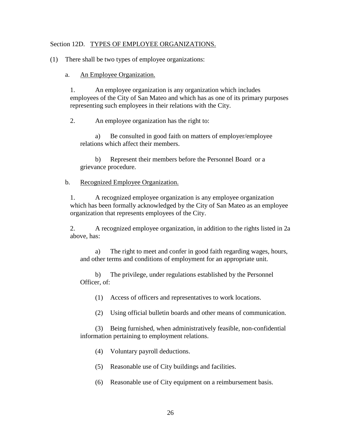#### Section 12D. TYPES OF EMPLOYEE ORGANIZATIONS.

(1) There shall be two types of employee organizations:

#### a. An Employee Organization.

1. An employee organization is any organization which includes employees of the City of San Mateo and which has as one of its primary purposes representing such employees in their relations with the City.

2. An employee organization has the right to:

a) Be consulted in good faith on matters of employer/employee relations which affect their members.

b) Represent their members before the Personnel Board or a grievance procedure.

#### b. Recognized Employee Organization.

1. A recognized employee organization is any employee organization which has been formally acknowledged by the City of San Mateo as an employee organization that represents employees of the City.

2. A recognized employee organization, in addition to the rights listed in 2a above, has:

a) The right to meet and confer in good faith regarding wages, hours, and other terms and conditions of employment for an appropriate unit.

b) The privilege, under regulations established by the Personnel Officer, of:

(1) Access of officers and representatives to work locations.

(2) Using official bulletin boards and other means of communication.

(3) Being furnished, when administratively feasible, non-confidential information pertaining to employment relations.

(4) Voluntary payroll deductions.

(5) Reasonable use of City buildings and facilities.

(6) Reasonable use of City equipment on a reimbursement basis.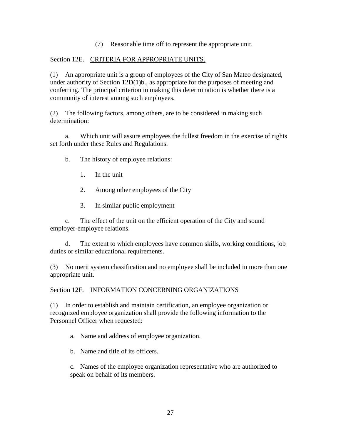(7) Reasonable time off to represent the appropriate unit.

### Section 12E. CRITERIA FOR APPROPRIATE UNITS.

(1) An appropriate unit is a group of employees of the City of San Mateo designated, under authority of Section 12D(1)b., as appropriate for the purposes of meeting and conferring. The principal criterion in making this determination is whether there is a community of interest among such employees.

(2) The following factors, among others, are to be considered in making such determination:

a. Which unit will assure employees the fullest freedom in the exercise of rights set forth under these Rules and Regulations.

- b. The history of employee relations:
	- 1. In the unit
	- 2. Among other employees of the City
	- 3. In similar public employment

c. The effect of the unit on the efficient operation of the City and sound employer-employee relations.

d. The extent to which employees have common skills, working conditions, job duties or similar educational requirements.

(3) No merit system classification and no employee shall be included in more than one appropriate unit.

Section 12F. INFORMATION CONCERNING ORGANIZATIONS

(1) In order to establish and maintain certification, an employee organization or recognized employee organization shall provide the following information to the Personnel Officer when requested:

a. Name and address of employee organization.

b. Name and title of its officers.

c. Names of the employee organization representative who are authorized to speak on behalf of its members.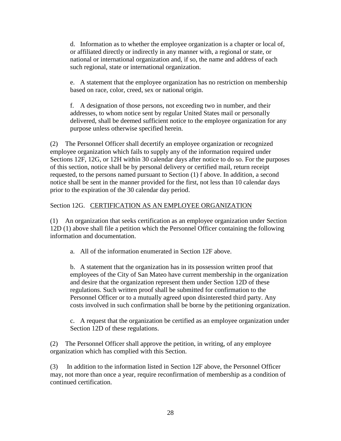d. Information as to whether the employee organization is a chapter or local of, or affiliated directly or indirectly in any manner with, a regional or state, or national or international organization and, if so, the name and address of each such regional, state or international organization.

e. A statement that the employee organization has no restriction on membership based on race, color, creed, sex or national origin.

f. A designation of those persons, not exceeding two in number, and their addresses, to whom notice sent by regular United States mail or personally delivered, shall be deemed sufficient notice to the employee organization for any purpose unless otherwise specified herein.

(2) The Personnel Officer shall decertify an employee organization or recognized employee organization which fails to supply any of the information required under Sections 12F, 12G, or 12H within 30 calendar days after notice to do so. For the purposes of this section, notice shall be by personal delivery or certified mail, return receipt requested, to the persons named pursuant to Section (1) f above. In addition, a second notice shall be sent in the manner provided for the first, not less than 10 calendar days prior to the expiration of the 30 calendar day period.

# Section 12G. CERTIFICATION AS AN EMPLOYEE ORGANIZATION

(1) An organization that seeks certification as an employee organization under Section 12D (1) above shall file a petition which the Personnel Officer containing the following information and documentation.

a. All of the information enumerated in Section 12F above.

b. A statement that the organization has in its possession written proof that employees of the City of San Mateo have current membership in the organization and desire that the organization represent them under Section 12D of these regulations. Such written proof shall be submitted for confirmation to the Personnel Officer or to a mutually agreed upon disinterested third party. Any costs involved in such confirmation shall be borne by the petitioning organization.

c. A request that the organization be certified as an employee organization under Section 12D of these regulations.

(2) The Personnel Officer shall approve the petition, in writing, of any employee organization which has complied with this Section.

(3) In addition to the information listed in Section 12F above, the Personnel Officer may, not more than once a year, require reconfirmation of membership as a condition of continued certification.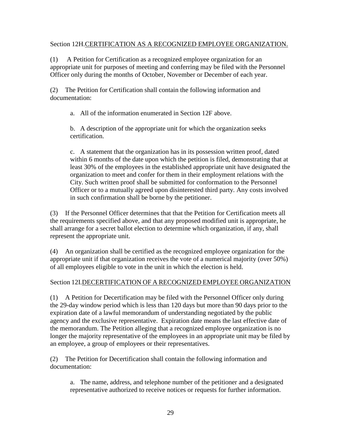### Section 12H.CERTIFICATION AS A RECOGNIZED EMPLOYEE ORGANIZATION.

(1) A Petition for Certification as a recognized employee organization for an appropriate unit for purposes of meeting and conferring may be filed with the Personnel Officer only during the months of October, November or December of each year.

(2) The Petition for Certification shall contain the following information and documentation:

a. All of the information enumerated in Section 12F above.

b. A description of the appropriate unit for which the organization seeks certification.

c. A statement that the organization has in its possession written proof, dated within 6 months of the date upon which the petition is filed, demonstrating that at least 30% of the employees in the established appropriate unit have designated the organization to meet and confer for them in their employment relations with the City. Such written proof shall be submitted for conformation to the Personnel Officer or to a mutually agreed upon disinterested third party. Any costs involved in such confirmation shall be borne by the petitioner.

(3) If the Personnel Officer determines that that the Petition for Certification meets all the requirements specified above, and that any proposed modified unit is appropriate, he shall arrange for a secret ballot election to determine which organization, if any, shall represent the appropriate unit.

(4) An organization shall be certified as the recognized employee organization for the appropriate unit if that organization receives the vote of a numerical majority (over 50%) of all employees eligible to vote in the unit in which the election is held.

# Section 12I.DECERTIFICATION OF A RECOGNIZED EMPLOYEE ORGANIZATION

(1) A Petition for Decertification may be filed with the Personnel Officer only during the 29-day window period which is less than 120 days but more than 90 days prior to the expiration date of a lawful memorandum of understanding negotiated by the public agency and the exclusive representative. Expiration date means the last effective date of the memorandum. The Petition alleging that a recognized employee organization is no longer the majority representative of the employees in an appropriate unit may be filed by an employee, a group of employees or their representatives.

(2) The Petition for Decertification shall contain the following information and documentation:

a. The name, address, and telephone number of the petitioner and a designated representative authorized to receive notices or requests for further information.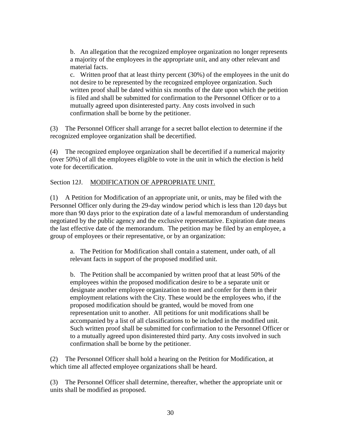b. An allegation that the recognized employee organization no longer represents a majority of the employees in the appropriate unit, and any other relevant and material facts.

c. Written proof that at least thirty percent (30%) of the employees in the unit do not desire to be represented by the recognized employee organization. Such written proof shall be dated within six months of the date upon which the petition is filed and shall be submitted for confirmation to the Personnel Officer or to a mutually agreed upon disinterested party. Any costs involved in such confirmation shall be borne by the petitioner.

(3) The Personnel Officer shall arrange for a secret ballot election to determine if the recognized employee organization shall be decertified.

(4) The recognized employee organization shall be decertified if a numerical majority (over 50%) of all the employees eligible to vote in the unit in which the election is held vote for decertification.

### Section 12J. MODIFICATION OF APPROPRIATE UNIT.

(1) A Petition for Modification of an appropriate unit, or units, may be filed with the Personnel Officer only during the 29-day window period which is less than 120 days but more than 90 days prior to the expiration date of a lawful memorandum of understanding negotiated by the public agency and the exclusive representative. Expiration date means the last effective date of the memorandum. The petition may be filed by an employee, a group of employees or their representative, or by an organization:

a. The Petition for Modification shall contain a statement, under oath, of all relevant facts in support of the proposed modified unit.

b. The Petition shall be accompanied by written proof that at least 50% of the employees within the proposed modification desire to be a separate unit or designate another employee organization to meet and confer for them in their employment relations with the City. These would be the employees who, if the proposed modification should be granted, would be moved from one representation unit to another. All petitions for unit modifications shall be accompanied by a list of all classifications to be included in the modified unit. Such written proof shall be submitted for confirmation to the Personnel Officer or to a mutually agreed upon disinterested third party. Any costs involved in such confirmation shall be borne by the petitioner.

(2) The Personnel Officer shall hold a hearing on the Petition for Modification, at which time all affected employee organizations shall be heard.

(3) The Personnel Officer shall determine, thereafter, whether the appropriate unit or units shall be modified as proposed.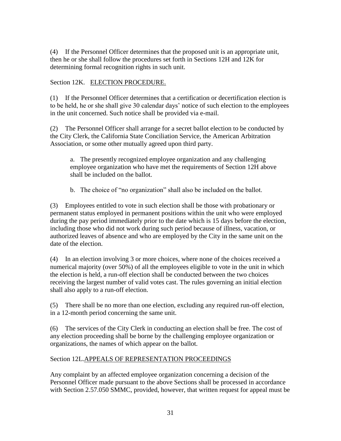(4) If the Personnel Officer determines that the proposed unit is an appropriate unit, then he or she shall follow the procedures set forth in Sections 12H and 12K for determining formal recognition rights in such unit.

# Section 12K. ELECTION PROCEDURE.

(1) If the Personnel Officer determines that a certification or decertification election is to be held, he or she shall give 30 calendar days' notice of such election to the employees in the unit concerned. Such notice shall be provided via e-mail.

(2) The Personnel Officer shall arrange for a secret ballot election to be conducted by the City Clerk, the California State Conciliation Service, the American Arbitration Association, or some other mutually agreed upon third party.

a. The presently recognized employee organization and any challenging employee organization who have met the requirements of Section 12H above shall be included on the ballot.

b. The choice of "no organization" shall also be included on the ballot.

(3) Employees entitled to vote in such election shall be those with probationary or permanent status employed in permanent positions within the unit who were employed during the pay period immediately prior to the date which is 15 days before the election, including those who did not work during such period because of illness, vacation, or authorized leaves of absence and who are employed by the City in the same unit on the date of the election.

(4) In an election involving 3 or more choices, where none of the choices received a numerical majority (over 50%) of all the employees eligible to vote in the unit in which the election is held, a run-off election shall be conducted between the two choices receiving the largest number of valid votes cast. The rules governing an initial election shall also apply to a run-off election.

(5) There shall be no more than one election, excluding any required run-off election, in a 12-month period concerning the same unit.

(6) The services of the City Clerk in conducting an election shall be free. The cost of any election proceeding shall be borne by the challenging employee organization or organizations, the names of which appear on the ballot.

# Section 12L.APPEALS OF REPRESENTATION PROCEEDINGS

Any complaint by an affected employee organization concerning a decision of the Personnel Officer made pursuant to the above Sections shall be processed in accordance with Section 2.57.050 SMMC, provided, however, that written request for appeal must be